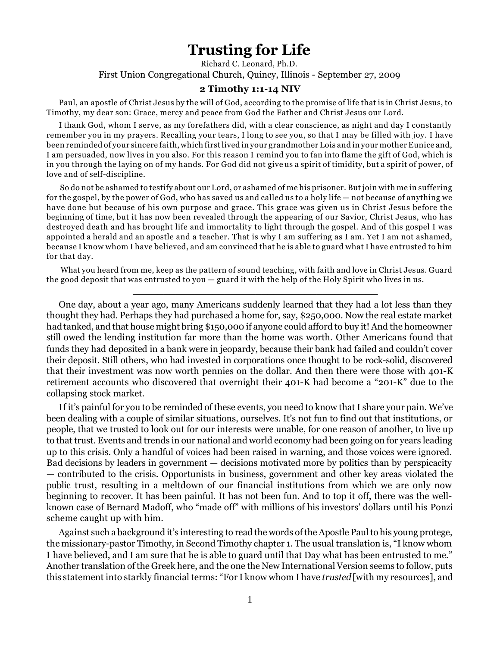## **Trusting for Life**

Richard C. Leonard, Ph.D. First Union Congregational Church, Quincy, Illinois - September 27, 2009

## **2 Timothy 1:1-14 NIV**

Paul, an apostle of Christ Jesus by the will of God, according to the promise of life that is in Christ Jesus, to Timothy, my dear son: Grace, mercy and peace from God the Father and Christ Jesus our Lord.

I thank God, whom I serve, as my forefathers did, with a clear conscience, as night and day I constantly remember you in my prayers. Recalling your tears, I long to see you, so that I may be filled with joy. I have been reminded of your sincere faith, which first lived in your grandmother Lois and in your mother Eunice and, I am persuaded, now lives in you also. For this reason I remind you to fan into flame the gift of God, which is in you through the laying on of my hands. For God did not give us a spirit of timidity, but a spirit of power, of love and of self-discipline.

 So do not be ashamed to testify about our Lord, or ashamed of me his prisoner. But join with me in suffering for the gospel, by the power of God, who has saved us and called us to a holy life — not because of anything we have done but because of his own purpose and grace. This grace was given us in Christ Jesus before the beginning of time, but it has now been revealed through the appearing of our Savior, Christ Jesus, who has destroyed death and has brought life and immortality to light through the gospel. And of this gospel I was appointed a herald and an apostle and a teacher. That is why I am suffering as I am. Yet I am not ashamed, because I know whom I have believed, and am convinced that he is able to guard what I have entrusted to him for that day.

 What you heard from me, keep as the pattern of sound teaching, with faith and love in Christ Jesus. Guard the good deposit that was entrusted to you — guard it with the help of the Holy Spirit who lives in us.

\_\_\_\_\_\_\_\_\_\_\_\_\_\_\_\_\_\_\_\_\_\_\_\_\_\_\_\_\_\_\_\_\_\_\_\_\_\_\_\_

One day, about a year ago, many Americans suddenly learned that they had a lot less than they thought they had. Perhaps they had purchased a home for, say, \$250,000. Now the real estate market had tanked, and that house might bring \$150,000 if anyone could afford to buy it! And the homeowner still owed the lending institution far more than the home was worth. Other Americans found that funds they had deposited in a bank were in jeopardy, because their bank had failed and couldn't cover their deposit. Still others, who had invested in corporations once thought to be rock-solid, discovered that their investment was now worth pennies on the dollar. And then there were those with 401-K retirement accounts who discovered that overnight their 401-K had become a "201-K" due to the collapsing stock market.

If it's painful for you to be reminded of these events, you need to know that I share your pain. We've been dealing with a couple of similar situations, ourselves. It's not fun to find out that institutions, or people, that we trusted to look out for our interests were unable, for one reason of another, to live up to that trust. Events and trends in our national and world economy had been going on for years leading up to this crisis. Only a handful of voices had been raised in warning, and those voices were ignored. Bad decisions by leaders in government — decisions motivated more by politics than by perspicacity — contributed to the crisis. Opportunists in business, government and other key areas violated the public trust, resulting in a meltdown of our financial institutions from which we are only now beginning to recover. It has been painful. It has not been fun. And to top it off, there was the wellknown case of Bernard Madoff, who "made off" with millions of his investors' dollars until his Ponzi scheme caught up with him.

Against such a background it's interesting to read the words of the Apostle Paul to his young protege, the missionary-pastor Timothy, in Second Timothy chapter 1. The usual translation is, "I know whom I have believed, and I am sure that he is able to guard until that Day what has been entrusted to me." Another translation of the Greek here, and the one the New International Version seems to follow, puts this statement into starkly financial terms: "For I know whom I have *trusted* [with my resources], and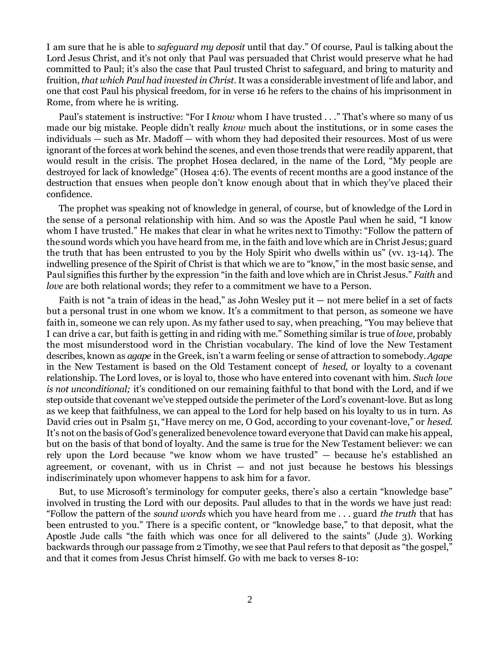I am sure that he is able to *safeguard my deposit* until that day." Of course, Paul is talking about the Lord Jesus Christ, and it's not only that Paul was persuaded that Christ would preserve what he had committed to Paul; it's also the case that Paul trusted Christ to safeguard, and bring to maturity and fruition, *that which Paul had invested in Christ*. It was a considerable investment of life and labor, and one that cost Paul his physical freedom, for in verse 16 he refers to the chains of his imprisonment in Rome, from where he is writing.

Paul's statement is instructive: "For I *know* whom I have trusted . . ." That's where so many of us made our big mistake. People didn't really *know* much about the institutions, or in some cases the individuals — such as Mr. Madoff — with whom they had deposited their resources. Most of us were ignorant of the forces at work behind the scenes, and even those trends that were readily apparent, that would result in the crisis. The prophet Hosea declared, in the name of the Lord, "My people are destroyed for lack of knowledge" (Hosea 4:6). The events of recent months are a good instance of the destruction that ensues when people don't know enough about that in which they've placed their confidence.

The prophet was speaking not of knowledge in general, of course, but of knowledge of the Lord in the sense of a personal relationship with him. And so was the Apostle Paul when he said, "I know whom I have trusted." He makes that clear in what he writes next to Timothy: "Follow the pattern of the sound words which you have heard from me, in the faith and love which are in Christ Jesus; guard the truth that has been entrusted to you by the Holy Spirit who dwells within us" (vv. 13-14). The indwelling presence of the Spirit of Christ is that which we are to "know," in the most basic sense, and Paul signifies this further by the expression "in the faith and love which are in Christ Jesus." *Faith* and *love* are both relational words; they refer to a commitment we have to a Person.

Faith is not "a train of ideas in the head," as John Wesley put it — not mere belief in a set of facts but a personal trust in one whom we know. It's a commitment to that person, as someone we have faith in, someone we can rely upon. As my father used to say, when preaching, "You may believe that I can drive a car, but faith is getting in and riding with me." Something similar is true of *love*, probably the most misunderstood word in the Christian vocabulary. The kind of love the New Testament describes, known as *agape* in the Greek, isn't a warm feeling or sense of attraction to somebody. *Agape* in the New Testament is based on the Old Testament concept of *hesed*, or loyalty to a covenant relationship. The Lord loves, or is loyal to, those who have entered into covenant with him. *Such love is not unconditional;* it's conditioned on our remaining faithful to that bond with the Lord, and if we step outside that covenant we've stepped outside the perimeter of the Lord's covenant-love. But as long as we keep that faithfulness, we can appeal to the Lord for help based on his loyalty to us in turn. As David cries out in Psalm 51, "Have mercy on me, O God, according to your covenant-love," or *hesed*. It's not on the basis of God's generalized benevolence toward everyone that David can make his appeal, but on the basis of that bond of loyalty. And the same is true for the New Testament believer: we can rely upon the Lord because "we know whom we have trusted" — because he's established an agreement, or covenant, with us in Christ  $-$  and not just because he bestows his blessings indiscriminately upon whomever happens to ask him for a favor.

But, to use Microsoft's terminology for computer geeks, there's also a certain "knowledge base" involved in trusting the Lord with our deposits. Paul alludes to that in the words we have just read: "Follow the pattern of the *sound words* which you have heard from me . . . guard *the truth* that has been entrusted to you." There is a specific content, or "knowledge base," to that deposit, what the Apostle Jude calls "the faith which was once for all delivered to the saints" (Jude 3). Working backwards through our passage from 2 Timothy, we see that Paul refers to that deposit as "the gospel," and that it comes from Jesus Christ himself. Go with me back to verses 8-10: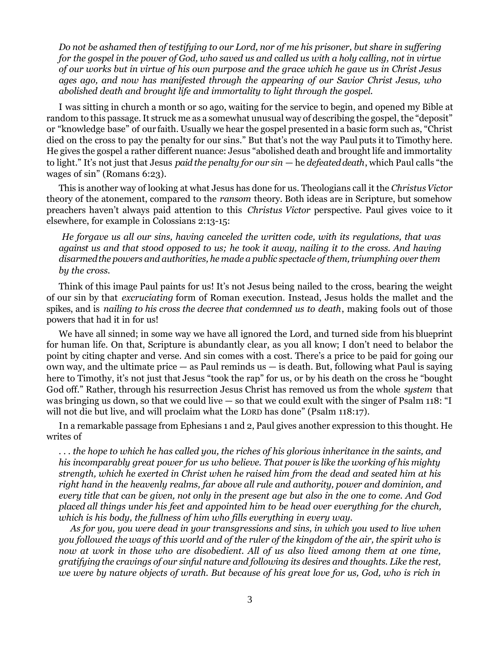*Do not be ashamed then of testifying to our Lord, nor of me his prisoner, but share in suffering for the gospel in the power of God, who saved us and called us with a holy calling, not in virtue of our works but in virtue of his own purpose and the grace which he gave us in Christ Jesus ages ago, and now has manifested through the appearing of our Savior Christ Jesus, who abolished death and brought life and immortality to light through the gospel.*

I was sitting in church a month or so ago, waiting for the service to begin, and opened my Bible at random to this passage. It struck me as a somewhat unusual way of describing the gospel, the "deposit" or "knowledge base" of our faith. Usually we hear the gospel presented in a basic form such as, "Christ died on the cross to pay the penalty for our sins." But that's not the way Paul puts it to Timothy here. He gives the gospel a rather different nuance: Jesus "abolished death and brought life and immortality to light." It's not just that Jesus *paid the penalty for our sin* — he *defeated death*, which Paul calls "the wages of sin" (Romans 6:23).

This is another way of looking at what Jesus has done for us. Theologians call it the *Christus Victor* theory of the atonement, compared to the *ransom* theory. Both ideas are in Scripture, but somehow preachers haven't always paid attention to this *Christus Victor* perspective. Paul gives voice to it elsewhere, for example in Colossians 2:13-15:

 *He forgave us all our sins, having canceled the written code, with its regulations, that was against us and that stood opposed to us; he took it away, nailing it to the cross. And having disarmed the powers and authorities, he made a public spectacle of them, triumphing over them by the cross.*

Think of this image Paul paints for us! It's not Jesus being nailed to the cross, bearing the weight of our sin by that *excruciating* form of Roman execution. Instead, Jesus holds the mallet and the spikes, and is *nailing to his cross the decree that condemned us to death*, making fools out of those powers that had it in for us!

We have all sinned; in some way we have all ignored the Lord, and turned side from his blueprint for human life. On that, Scripture is abundantly clear, as you all know; I don't need to belabor the point by citing chapter and verse. And sin comes with a cost. There's a price to be paid for going our own way, and the ultimate price  $-$  as Paul reminds us  $-$  is death. But, following what Paul is saying here to Timothy, it's not just that Jesus "took the rap" for us, or by his death on the cross he "bought God off." Rather, through his resurrection Jesus Christ has removed us from the whole *system* that was bringing us down, so that we could live — so that we could exult with the singer of Psalm 118: "I will not die but live, and will proclaim what the LORD has done" (Psalm 118:17).

In a remarkable passage from Ephesians 1 and 2, Paul gives another expression to this thought. He writes of

*. . . the hope to which he has called you, the riches of his glorious inheritance in the saints, and his incomparably great power for us who believe. That power is like the working of his mighty strength, which he exerted in Christ when he raised him from the dead and seated him at his right hand in the heavenly realms, far above all rule and authority, power and dominion, and every title that can be given, not only in the present age but also in the one to come. And God placed all things under his feet and appointed him to be head over everything for the church, which is his body, the fullness of him who fills everything in every way.*

*As for you, you were dead in your transgressions and sins, in which you used to live when you followed the ways of this world and of the ruler of the kingdom of the air, the spirit who is now at work in those who are disobedient. All of us also lived among them at one time, gratifying the cravings of our sinful nature and following its desires and thoughts. Like the rest, we were by nature objects of wrath. But because of his great love for us, God, who is rich in*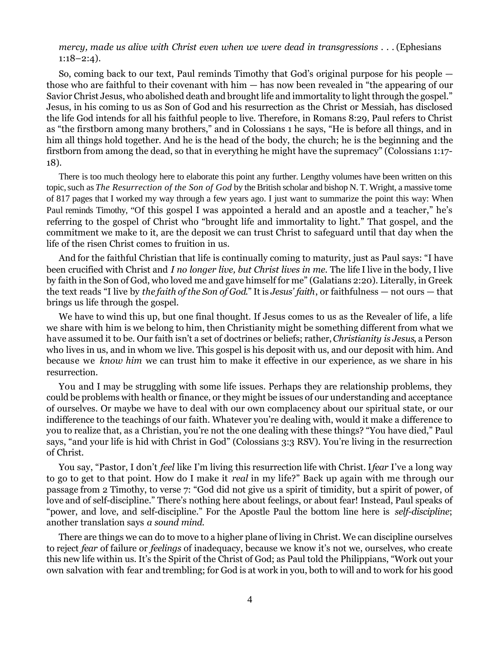*mercy, made us alive with Christ even when we were dead in transgressions . . .* (Ephesians 1:18–2:4).

So, coming back to our text, Paul reminds Timothy that God's original purpose for his people those who are faithful to their covenant with him — has now been revealed in "the appearing of our Savior Christ Jesus, who abolished death and brought life and immortality to light through the gospel." Jesus, in his coming to us as Son of God and his resurrection as the Christ or Messiah, has disclosed the life God intends for all his faithful people to live. Therefore, in Romans 8:29, Paul refers to Christ as "the firstborn among many brothers," and in Colossians 1 he says, "He is before all things, and in him all things hold together. And he is the head of the body, the church; he is the beginning and the firstborn from among the dead, so that in everything he might have the supremacy" (Colossians 1:17- 18).

There is too much theology here to elaborate this point any further. Lengthy volumes have been written on this topic, such as *The Resurrection of the Son of God* by the British scholar and bishop N. T. Wright, a massive tome of 817 pages that I worked my way through a few years ago. I just want to summarize the point this way: When Paul reminds Timothy, "Of this gospel I was appointed a herald and an apostle and a teacher," he's referring to the gospel of Christ who "brought life and immortality to light." That gospel, and the commitment we make to it, are the deposit we can trust Christ to safeguard until that day when the life of the risen Christ comes to fruition in us.

And for the faithful Christian that life is continually coming to maturity, just as Paul says: "I have been crucified with Christ and *I no longer live, but Christ lives in me.* The life I live in the body, I live by faith in the Son of God, who loved me and gave himself for me" (Galatians 2:20). Literally, in Greek the text reads "I live by *the faith of the Son of God*." It is *Jesus' faith*, or faithfulness — not ours — that brings us life through the gospel.

We have to wind this up, but one final thought. If Jesus comes to us as the Revealer of life, a life we share with him is we belong to him, then Christianity might be something different from what we have assumed it to be. Our faith isn't a set of doctrines or beliefs; rather, *Christianity is Jesus*, a Person who lives in us, and in whom we live. This gospel is his deposit with us, and our deposit with him. And because we *know him* we can trust him to make it effective in our experience, as we share in his resurrection.

You and I may be struggling with some life issues. Perhaps they are relationship problems, they could be problems with health or finance, or they might be issues of our understanding and acceptance of ourselves. Or maybe we have to deal with our own complacency about our spiritual state, or our indifference to the teachings of our faith. Whatever you're dealing with, would it make a difference to you to realize that, as a Christian, you're not the one dealing with these things? "You have died," Paul says, "and your life is hid with Christ in God" (Colossians 3:3 RSV). You're living in the resurrection of Christ.

You say, "Pastor, I don't *feel* like I'm living this resurrection life with Christ. I *fear* I've a long way to go to get to that point. How do I make it *real* in my life?" Back up again with me through our passage from 2 Timothy, to verse 7: "God did not give us a spirit of timidity, but a spirit of power, of love and of self-discipline." There's nothing here about feelings, or about fear! Instead, Paul speaks of "power, and love, and self-discipline." For the Apostle Paul the bottom line here is *self-discipline*; another translation says *a sound mind.*

There are things we can do to move to a higher plane of living in Christ. We can discipline ourselves to reject *fear* of failure or *feelings* of inadequacy, because we know it's not we, ourselves, who create this new life within us. It's the Spirit of the Christ of God; as Paul told the Philippians, "Work out your own salvation with fear and trembling; for God is at work in you, both to will and to work for his good